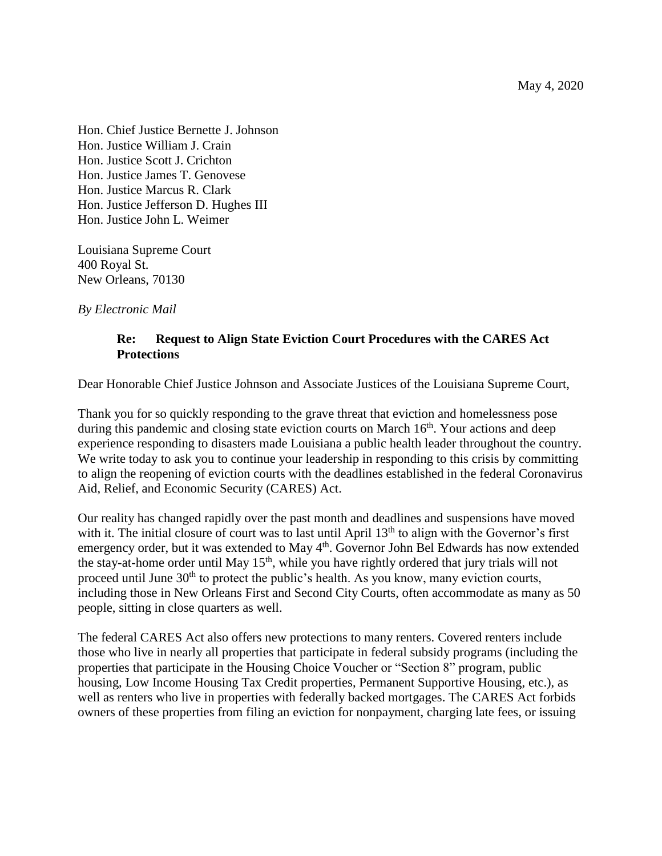May 4, 2020

Hon. Chief Justice Bernette J. Johnson Hon. Justice William J. Crain Hon. Justice Scott J. Crichton Hon. Justice James T. Genovese Hon. Justice Marcus R. Clark Hon. Justice Jefferson D. Hughes III Hon. Justice John L. Weimer

Louisiana Supreme Court 400 Royal St. New Orleans, 70130

*By Electronic Mail*

## **Re: Request to Align State Eviction Court Procedures with the CARES Act Protections**

Dear Honorable Chief Justice Johnson and Associate Justices of the Louisiana Supreme Court,

Thank you for so quickly responding to the grave threat that eviction and homelessness pose during this pandemic and closing state eviction courts on March 16<sup>th</sup>. Your actions and deep experience responding to disasters made Louisiana a public health leader throughout the country. We write today to ask you to continue your leadership in responding to this crisis by committing to align the reopening of eviction courts with the deadlines established in the federal Coronavirus Aid, Relief, and Economic Security (CARES) Act.

Our reality has changed rapidly over the past month and deadlines and suspensions have moved with it. The initial closure of court was to last until April 13<sup>th</sup> to align with the Governor's first emergency order, but it was extended to May 4<sup>th</sup>. Governor John Bel Edwards has now extended the stay-at-home order until May 15<sup>th</sup>, while you have rightly ordered that jury trials will not proceed until June  $30<sup>th</sup>$  to protect the public's health. As you know, many eviction courts, including those in New Orleans First and Second City Courts, often accommodate as many as 50 people, sitting in close quarters as well.

The federal CARES Act also offers new protections to many renters. Covered renters include those who live in nearly all properties that participate in federal subsidy programs (including the properties that participate in the Housing Choice Voucher or "Section 8" program, public housing, Low Income Housing Tax Credit properties, Permanent Supportive Housing, etc.), as well as renters who live in properties with federally backed mortgages. The CARES Act forbids owners of these properties from filing an eviction for nonpayment, charging late fees, or issuing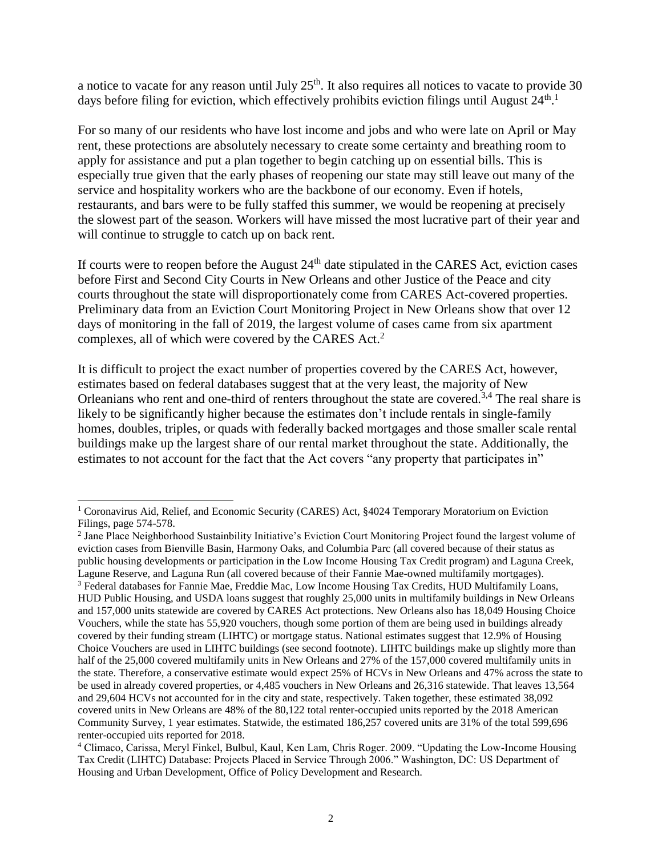a notice to vacate for any reason until July  $25<sup>th</sup>$ . It also requires all notices to vacate to provide 30 days before filing for eviction, which effectively prohibits eviction filings until August  $24^{\text{th}}$ .

For so many of our residents who have lost income and jobs and who were late on April or May rent, these protections are absolutely necessary to create some certainty and breathing room to apply for assistance and put a plan together to begin catching up on essential bills. This is especially true given that the early phases of reopening our state may still leave out many of the service and hospitality workers who are the backbone of our economy. Even if hotels, restaurants, and bars were to be fully staffed this summer, we would be reopening at precisely the slowest part of the season. Workers will have missed the most lucrative part of their year and will continue to struggle to catch up on back rent.

If courts were to reopen before the August  $24<sup>th</sup>$  date stipulated in the CARES Act, eviction cases before First and Second City Courts in New Orleans and other Justice of the Peace and city courts throughout the state will disproportionately come from CARES Act-covered properties. Preliminary data from an Eviction Court Monitoring Project in New Orleans show that over 12 days of monitoring in the fall of 2019, the largest volume of cases came from six apartment complexes, all of which were covered by the CARES Act. 2

It is difficult to project the exact number of properties covered by the CARES Act, however, estimates based on federal databases suggest that at the very least, the majority of New Orleanians who rent and one-third of renters throughout the state are covered.<sup>3,4</sup> The real share is likely to be significantly higher because the estimates don't include rentals in single-family homes, doubles, triples, or quads with federally backed mortgages and those smaller scale rental buildings make up the largest share of our rental market throughout the state. Additionally, the estimates to not account for the fact that the Act covers "any property that participates in"

 $\overline{a}$ 

<sup>1</sup> Coronavirus Aid, Relief, and Economic Security (CARES) Act, §4024 Temporary Moratorium on Eviction Filings, page 574-578.

<sup>&</sup>lt;sup>2</sup> Jane Place Neighborhood Sustainbility Initiative's Eviction Court Monitoring Project found the largest volume of eviction cases from Bienville Basin, Harmony Oaks, and Columbia Parc (all covered because of their status as public housing developments or participation in the Low Income Housing Tax Credit program) and Laguna Creek, Lagune Reserve, and Laguna Run (all covered because of their Fannie Mae-owned multifamily mortgages). <sup>3</sup> Federal databases for Fannie Mae, Freddie Mac, Low Income Housing Tax Credits, HUD Multifamily Loans, HUD Public Housing, and USDA loans suggest that roughly 25,000 units in multifamily buildings in New Orleans and 157,000 units statewide are covered by CARES Act protections. New Orleans also has 18,049 Housing Choice Vouchers, while the state has 55,920 vouchers, though some portion of them are being used in buildings already covered by their funding stream (LIHTC) or mortgage status. National estimates suggest that 12.9% of Housing Choice Vouchers are used in LIHTC buildings (see second footnote). LIHTC buildings make up slightly more than half of the 25,000 covered multifamily units in New Orleans and 27% of the 157,000 covered multifamily units in the state. Therefore, a conservative estimate would expect 25% of HCVs in New Orleans and 47% across the state to be used in already covered properties, or 4,485 vouchers in New Orleans and 26,316 statewide. That leaves 13,564 and 29,604 HCVs not accounted for in the city and state, respectively. Taken together, these estimated 38,092 covered units in New Orleans are 48% of the 80,122 total renter-occupied units reported by the 2018 American Community Survey, 1 year estimates. Statwide, the estimated 186,257 covered units are 31% of the total 599,696 renter-occupied uits reported for 2018.

<sup>4</sup> Climaco, Carissa, Meryl Finkel, Bulbul, Kaul, Ken Lam, Chris Roger. 2009. "Updating the Low-Income Housing Tax Credit (LIHTC) Database: Projects Placed in Service Through 2006." Washington, DC: US Department of Housing and Urban Development, Office of Policy Development and Research.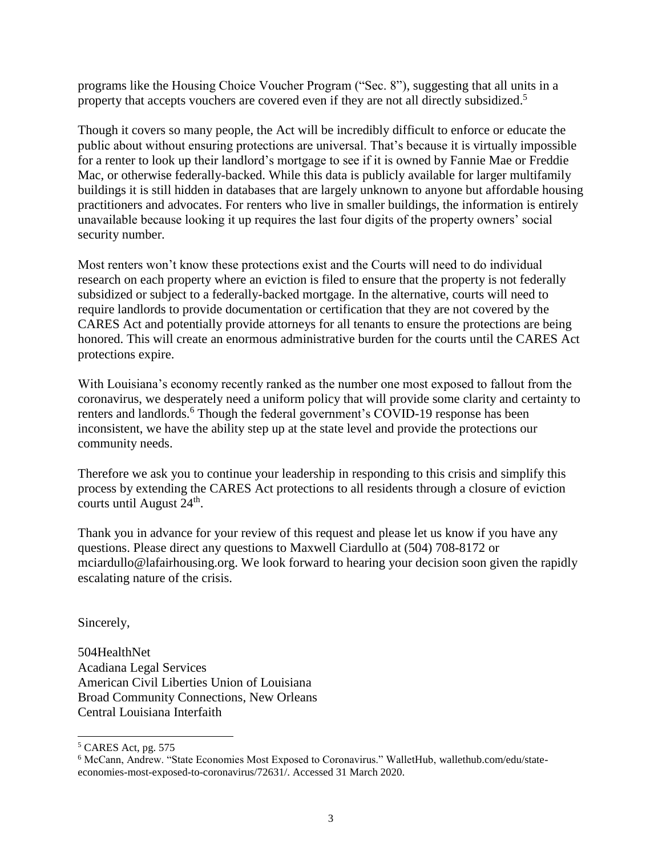programs like the Housing Choice Voucher Program ("Sec. 8"), suggesting that all units in a property that accepts vouchers are covered even if they are not all directly subsidized.<sup>5</sup>

Though it covers so many people, the Act will be incredibly difficult to enforce or educate the public about without ensuring protections are universal. That's because it is virtually impossible for a renter to look up their landlord's mortgage to see if it is owned by Fannie Mae or Freddie Mac, or otherwise federally-backed. While this data is publicly available for larger multifamily buildings it is still hidden in databases that are largely unknown to anyone but affordable housing practitioners and advocates. For renters who live in smaller buildings, the information is entirely unavailable because looking it up requires the last four digits of the property owners' social security number.

Most renters won't know these protections exist and the Courts will need to do individual research on each property where an eviction is filed to ensure that the property is not federally subsidized or subject to a federally-backed mortgage. In the alternative, courts will need to require landlords to provide documentation or certification that they are not covered by the CARES Act and potentially provide attorneys for all tenants to ensure the protections are being honored. This will create an enormous administrative burden for the courts until the CARES Act protections expire.

With Louisiana's economy recently ranked as the number one most exposed to fallout from the coronavirus, we desperately need a uniform policy that will provide some clarity and certainty to renters and landlords.<sup>6</sup> Though the federal government's COVID-19 response has been inconsistent, we have the ability step up at the state level and provide the protections our community needs.

Therefore we ask you to continue your leadership in responding to this crisis and simplify this process by extending the CARES Act protections to all residents through a closure of eviction courts until August  $24^{\text{th}}$ .

Thank you in advance for your review of this request and please let us know if you have any questions. Please direct any questions to Maxwell Ciardullo at (504) 708-8172 or mciardullo@lafairhousing.org. We look forward to hearing your decision soon given the rapidly escalating nature of the crisis.

Sincerely,

l

504HealthNet Acadiana Legal Services American Civil Liberties Union of Louisiana Broad Community Connections, New Orleans Central Louisiana Interfaith

<sup>5</sup> CARES Act, pg. 575

<sup>6</sup> McCann, Andrew. "State Economies Most Exposed to Coronavirus." WalletHub, wallethub.com/edu/stateeconomies-most-exposed-to-coronavirus/72631/. Accessed 31 March 2020.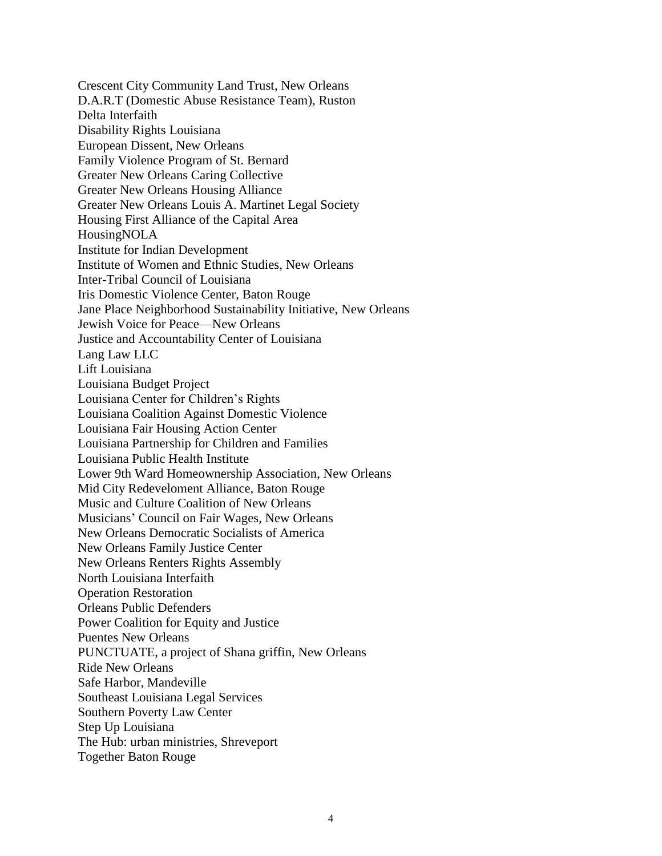Crescent City Community Land Trust, New Orleans D.A.R.T (Domestic Abuse Resistance Team), Ruston Delta Interfaith Disability Rights Louisiana European Dissent, New Orleans Family Violence Program of St. Bernard Greater New Orleans Caring Collective Greater New Orleans Housing Alliance Greater New Orleans Louis A. Martinet Legal Society Housing First Alliance of the Capital Area HousingNOLA Institute for Indian Development Institute of Women and Ethnic Studies, New Orleans Inter-Tribal Council of Louisiana Iris Domestic Violence Center, Baton Rouge Jane Place Neighborhood Sustainability Initiative, New Orleans Jewish Voice for Peace—New Orleans Justice and Accountability Center of Louisiana Lang Law LLC Lift Louisiana Louisiana Budget Project Louisiana Center for Children's Rights Louisiana Coalition Against Domestic Violence Louisiana Fair Housing Action Center Louisiana Partnership for Children and Families Louisiana Public Health Institute Lower 9th Ward Homeownership Association, New Orleans Mid City Redeveloment Alliance, Baton Rouge Music and Culture Coalition of New Orleans Musicians' Council on Fair Wages, New Orleans New Orleans Democratic Socialists of America New Orleans Family Justice Center New Orleans Renters Rights Assembly North Louisiana Interfaith Operation Restoration Orleans Public Defenders Power Coalition for Equity and Justice Puentes New Orleans PUNCTUATE, a project of Shana griffin, New Orleans Ride New Orleans Safe Harbor, Mandeville Southeast Louisiana Legal Services Southern Poverty Law Center Step Up Louisiana The Hub: urban ministries, Shreveport Together Baton Rouge